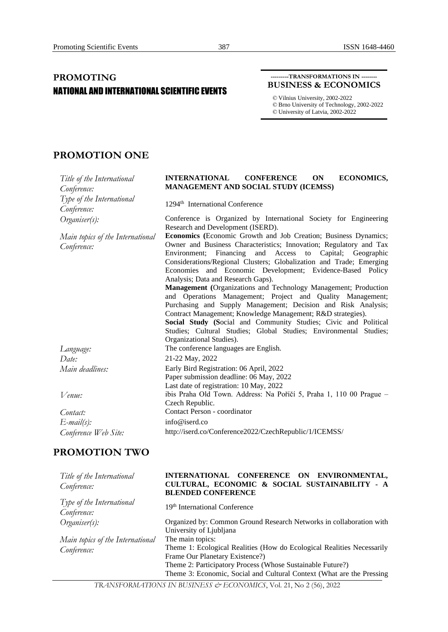# **PROMOTING** NATIONAL AND INTERNATIONAL SCIENTIFIC EVENTS

#### **---------TRANSFORMATIONS IN -------- BUSINESS & ECONOMICS**

*©* Vilnius University, 2002-2022 *©* Brno University of Technology, 2002-2022 *©* University of Latvia, 2002-2022

## **PROMOTION ONE**

| Title of the International                      | <b>INTERNATIONAL</b><br>MANAGEMENT AND SOCIAL STUDY (ICEMSS)                                                                                                                                                                                                                                                                                                                                                                                                                                                                                                                                                                                                                                                                                                                         | <b>CONFERENCE</b> | <b>ON</b> | <b>ECONOMICS,</b> |
|-------------------------------------------------|--------------------------------------------------------------------------------------------------------------------------------------------------------------------------------------------------------------------------------------------------------------------------------------------------------------------------------------------------------------------------------------------------------------------------------------------------------------------------------------------------------------------------------------------------------------------------------------------------------------------------------------------------------------------------------------------------------------------------------------------------------------------------------------|-------------------|-----------|-------------------|
| Conference:                                     |                                                                                                                                                                                                                                                                                                                                                                                                                                                                                                                                                                                                                                                                                                                                                                                      |                   |           |                   |
| Type of the International<br>Conference:        | 1294 <sup>th</sup> International Conference                                                                                                                                                                                                                                                                                                                                                                                                                                                                                                                                                                                                                                                                                                                                          |                   |           |                   |
| Organiser(s):                                   | Conference is Organized by International Society for Engineering<br>Research and Development (ISERD).                                                                                                                                                                                                                                                                                                                                                                                                                                                                                                                                                                                                                                                                                |                   |           |                   |
| Main topics of the International<br>Conference: | Economics (Economic Growth and Job Creation; Business Dynamics;<br>Owner and Business Characteristics; Innovation; Regulatory and Tax<br>Environment; Financing and Access to Capital; Geographic<br>Considerations/Regional Clusters; Globalization and Trade; Emerging<br>Economies and Economic Development; Evidence-Based Policy<br>Analysis; Data and Research Gaps).<br>Management (Organizations and Technology Management; Production<br>and Operations Management; Project and Quality Management;<br>Purchasing and Supply Management; Decision and Risk Analysis;<br>Contract Management; Knowledge Management; R&D strategies).<br>Social Study (Social and Community Studies; Civic and Political<br>Studies; Cultural Studies; Global Studies; Environmental Studies; |                   |           |                   |
| Language:<br>Date:                              | Organizational Studies).<br>The conference languages are English.<br>21-22 May, 2022                                                                                                                                                                                                                                                                                                                                                                                                                                                                                                                                                                                                                                                                                                 |                   |           |                   |
| Main deadlines:                                 | Early Bird Registration: 06 April, 2022<br>Paper submission deadline: 06 May, 2022                                                                                                                                                                                                                                                                                                                                                                                                                                                                                                                                                                                                                                                                                                   |                   |           |                   |
| Venue:                                          | Last date of registration: 10 May, 2022<br>ibis Praha Old Town. Address: Na Poříčí 5, Praha 1, 110 00 Prague -<br>Czech Republic.                                                                                                                                                                                                                                                                                                                                                                                                                                                                                                                                                                                                                                                    |                   |           |                   |
| Contact:                                        | Contact Person - coordinator                                                                                                                                                                                                                                                                                                                                                                                                                                                                                                                                                                                                                                                                                                                                                         |                   |           |                   |
| $E$ -mail(s):                                   | info@iserd.co                                                                                                                                                                                                                                                                                                                                                                                                                                                                                                                                                                                                                                                                                                                                                                        |                   |           |                   |
| Conference Web Site:                            | http://iserd.co/Conference2022/CzechRepublic/1/ICEMSS/                                                                                                                                                                                                                                                                                                                                                                                                                                                                                                                                                                                                                                                                                                                               |                   |           |                   |

## **PROMOTION TWO**

| Title of the International<br>Conference: | INTERNATIONAL CONFERENCE ON ENVIRONMENTAL,<br>CULTURAL, ECONOMIC & SOCIAL SUSTAINABILITY - A<br><b>BLENDED CONFERENCE</b> |
|-------------------------------------------|---------------------------------------------------------------------------------------------------------------------------|
| Type of the International<br>Conference:  | 19 <sup>th</sup> International Conference                                                                                 |
| $Organiser(s)$ :                          | Organized by: Common Ground Research Networks in collaboration with<br>University of Ljubljana                            |
| Main topics of the International          | The main topics:                                                                                                          |
| Conference:                               | Theme 1: Ecological Realities (How do Ecological Realities Necessarily<br>Frame Our Planetary Existence?)                 |
|                                           | Theme 2: Participatory Process (Whose Sustainable Future?)                                                                |
|                                           | Theme 3: Economic, Social and Cultural Context (What are the Pressing                                                     |

387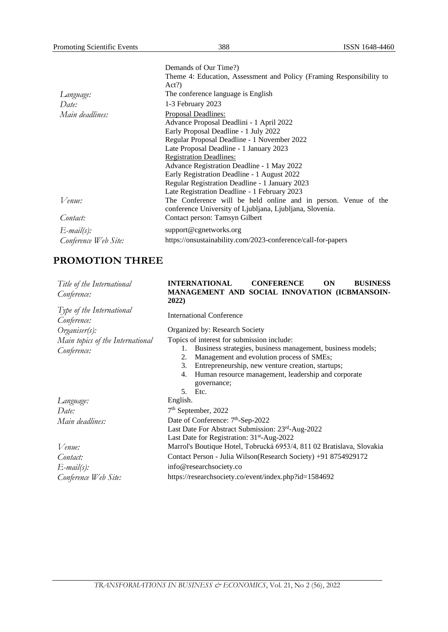|                      | Demands of Our Time?)                                                |
|----------------------|----------------------------------------------------------------------|
|                      | Theme 4: Education, Assessment and Policy (Framing Responsibility to |
|                      | Act?)                                                                |
| Language:            | The conference language is English                                   |
| Date:                | 1-3 February 2023                                                    |
| Main deadlines:      | Proposal Deadlines:                                                  |
|                      | Advance Proposal Deadlini - 1 April 2022                             |
|                      | Early Proposal Deadline - 1 July 2022                                |
|                      | Regular Proposal Deadline - 1 November 2022                          |
|                      | Late Proposal Deadline - 1 January 2023                              |
|                      | <b>Registration Deadlines:</b>                                       |
|                      | Advance Registration Deadline - 1 May 2022                           |
|                      | Early Registration Deadline - 1 August 2022                          |
|                      | Regular Registration Deadline - 1 January 2023                       |
|                      | Late Registration Deadline - 1 February 2023                         |
| Venue:               | The Conference will be held online and in person. Venue of the       |
|                      | conference University of Ljubljana, Ljubljana, Slovenia.             |
| Contact:             | Contact person: Tamsyn Gilbert                                       |
| $E$ -mail(s):        | support@cgnetworks.org                                               |
| Conference Web Site: | https://onsustainability.com/2023-conference/call-for-papers         |

# **PROMOTION THREE**

| Title of the International<br>Conference:       | <b>INTERNATIONAL</b><br><b>BUSINESS</b><br><b>CONFERENCE</b><br>ON<br>MANAGEMENT AND SOCIAL INNOVATION (ICBMANSOIN-<br>2022)                                                                                                                                                                                           |  |  |
|-------------------------------------------------|------------------------------------------------------------------------------------------------------------------------------------------------------------------------------------------------------------------------------------------------------------------------------------------------------------------------|--|--|
| Type of the International<br>Conference:        | <b>International Conference</b>                                                                                                                                                                                                                                                                                        |  |  |
| Organiser(s):                                   | Organized by: Research Society                                                                                                                                                                                                                                                                                         |  |  |
| Main topics of the International<br>Conference: | Topics of interest for submission include:<br>Business strategies, business management, business models;<br>1.<br>Management and evolution process of SMEs;<br>2.<br>3.<br>Entrepreneurship, new venture creation, startups;<br>Human resource management, leadership and corporate<br>4.<br>governance;<br>Etc.<br>5. |  |  |
| Language:                                       | English.                                                                                                                                                                                                                                                                                                               |  |  |
| Date:                                           | $7th$ September, 2022                                                                                                                                                                                                                                                                                                  |  |  |
| Main deadlines:                                 | Date of Conference: 7 <sup>th</sup> -Sep-2022<br>Last Date For Abstract Submission: 23rd-Aug-2022<br>Last Date for Registration: 31 <sup>st</sup> -Aug-2022                                                                                                                                                            |  |  |
| Venue:                                          | Marrol's Boutique Hotel, Tobrucká 6953/4, 811 02 Bratislava, Slovakia                                                                                                                                                                                                                                                  |  |  |
| Contact:                                        | Contact Person - Julia Wilson(Research Society) +91 8754929172                                                                                                                                                                                                                                                         |  |  |
| $E$ -mail(s):                                   | info@researchsociety.co                                                                                                                                                                                                                                                                                                |  |  |
| Conference Web Site:                            | https://researchsociety.co/event/index.php?id=1584692                                                                                                                                                                                                                                                                  |  |  |